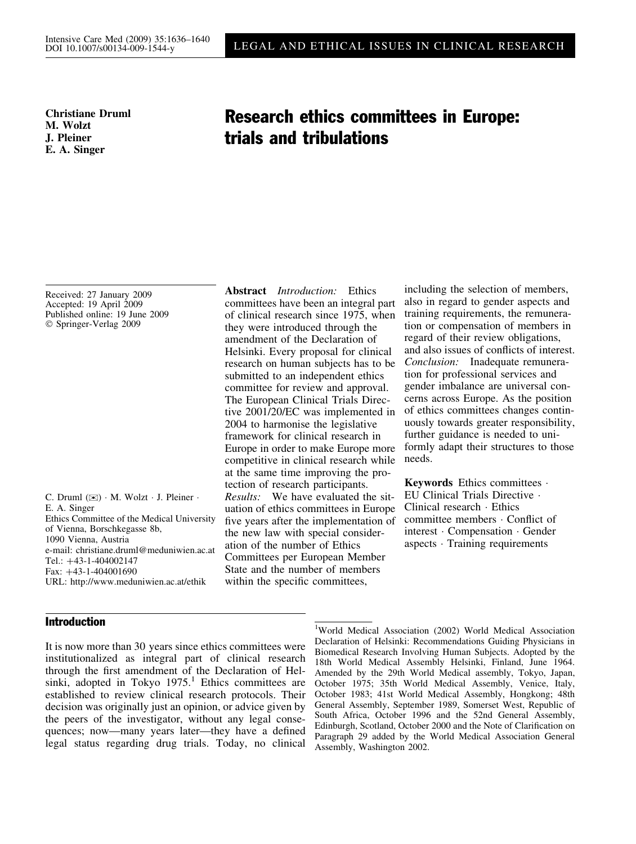Christiane Druml M. Wolzt J. Pleiner E. A. Singer

# Research ethics committees in Europe: trials and tribulations

Received: 27 January 2009 Accepted: 19 April 2009 Published online: 19 June 2009 Springer-Verlag 2009

C. Druml  $(\boxtimes)$   $\cdot$  M. Wolzt  $\cdot$  J. Pleiner  $\cdot$ E. A. Singer Ethics Committee of the Medical University of Vienna, Borschkegasse 8b, 1090 Vienna, Austria e-mail: christiane.druml@meduniwien.ac.at Tel.:  $+43-1-404002147$ Fax:  $+43-1-404001690$ URL: http://www.meduniwien.ac.at/ethik

Abstract Introduction: Ethics committees have been an integral part of clinical research since 1975, when they were introduced through the amendment of the Declaration of Helsinki. Every proposal for clinical research on human subjects has to be submitted to an independent ethics committee for review and approval. The European Clinical Trials Directive 2001/20/EC was implemented in 2004 to harmonise the legislative framework for clinical research in Europe in order to make Europe more competitive in clinical research while at the same time improving the protection of research participants. Results: We have evaluated the situation of ethics committees in Europe five years after the implementation of the new law with special consideration of the number of Ethics Committees per European Member State and the number of members within the specific committees,

including the selection of members, also in regard to gender aspects and training requirements, the remuneration or compensation of members in regard of their review obligations, and also issues of conflicts of interest. Conclusion: Inadequate remuneration for professional services and gender imbalance are universal concerns across Europe. As the position of ethics committees changes continuously towards greater responsibility, further guidance is needed to uniformly adapt their structures to those needs.

Keywords Ethics committees . EU Clinical Trials Directive  $C$ linical research  $\cdot$  Ethics committee members  $\cdot$  Conflict of interest · Compensation · Gender aspects · Training requirements

# Introduction

It is now more than 30 years since ethics committees were institutionalized as integral part of clinical research through the first amendment of the Declaration of Helsinki, adopted in Tokyo  $1975$ <sup>1</sup>. Ethics committees are established to review clinical research protocols. Their decision was originally just an opinion, or advice given by the peers of the investigator, without any legal consequences; now—many years later—they have a defined legal status regarding drug trials. Today, no clinical

<sup>1</sup>World Medical Association (2002) World Medical Association Declaration of Helsinki: Recommendations Guiding Physicians in Biomedical Research Involving Human Subjects. Adopted by the 18th World Medical Assembly Helsinki, Finland, June 1964. Amended by the 29th World Medical assembly, Tokyo, Japan, October 1975; 35th World Medical Assembly, Venice, Italy, October 1983; 41st World Medical Assembly, Hongkong; 48th General Assembly, September 1989, Somerset West, Republic of South Africa, October 1996 and the 52nd General Assembly, Edinburgh, Scotland, October 2000 and the Note of Clarification on Paragraph 29 added by the World Medical Association General Assembly, Washington 2002.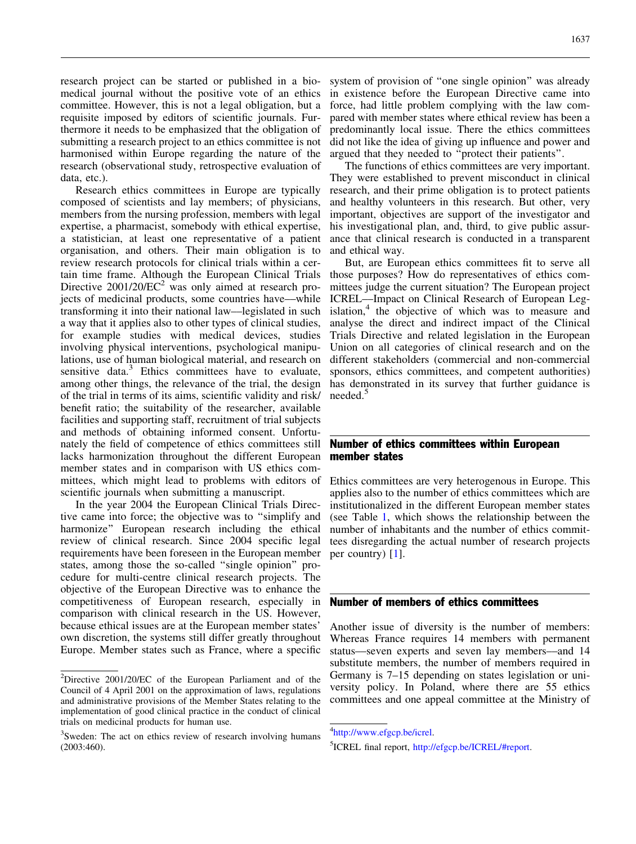research project can be started or published in a biomedical journal without the positive vote of an ethics committee. However, this is not a legal obligation, but a requisite imposed by editors of scientific journals. Furthermore it needs to be emphasized that the obligation of submitting a research project to an ethics committee is not harmonised within Europe regarding the nature of the research (observational study, retrospective evaluation of data, etc.).

Research ethics committees in Europe are typically composed of scientists and lay members; of physicians, members from the nursing profession, members with legal expertise, a pharmacist, somebody with ethical expertise, a statistician, at least one representative of a patient organisation, and others. Their main obligation is to review research protocols for clinical trials within a certain time frame. Although the European Clinical Trials Directive  $2001/20/EC^2$  was only aimed at research projects of medicinal products, some countries have––while transforming it into their national law––legislated in such a way that it applies also to other types of clinical studies, for example studies with medical devices, studies involving physical interventions, psychological manipulations, use of human biological material, and research on sensitive data.<sup>3</sup> Ethics committees have to evaluate, among other things, the relevance of the trial, the design of the trial in terms of its aims, scientific validity and risk/ benefit ratio; the suitability of the researcher, available facilities and supporting staff, recruitment of trial subjects and methods of obtaining informed consent. Unfortunately the field of competence of ethics committees still lacks harmonization throughout the different European member states and in comparison with US ethics committees, which might lead to problems with editors of scientific journals when submitting a manuscript.

In the year 2004 the European Clinical Trials Directive came into force; the objective was to ''simplify and harmonize'' European research including the ethical review of clinical research. Since 2004 specific legal requirements have been foreseen in the European member states, among those the so-called ''single opinion'' procedure for multi-centre clinical research projects. The objective of the European Directive was to enhance the competitiveness of European research, especially in comparison with clinical research in the US. However, because ethical issues are at the European member states' own discretion, the systems still differ greatly throughout Europe. Member states such as France, where a specific

system of provision of ''one single opinion'' was already in existence before the European Directive came into force, had little problem complying with the law compared with member states where ethical review has been a predominantly local issue. There the ethics committees did not like the idea of giving up influence and power and argued that they needed to ''protect their patients''.

The functions of ethics committees are very important. They were established to prevent misconduct in clinical research, and their prime obligation is to protect patients and healthy volunteers in this research. But other, very important, objectives are support of the investigator and his investigational plan, and, third, to give public assurance that clinical research is conducted in a transparent and ethical way.

But, are European ethics committees fit to serve all those purposes? How do representatives of ethics committees judge the current situation? The European project ICREL––Impact on Clinical Research of European Legislation, $4$  the objective of which was to measure and analyse the direct and indirect impact of the Clinical Trials Directive and related legislation in the European Union on all categories of clinical research and on the different stakeholders (commercial and non-commercial sponsors, ethics committees, and competent authorities) has demonstrated in its survey that further guidance is needed.<sup>5</sup>

## Number of ethics committees within European member states

Ethics committees are very heterogenous in Europe. This applies also to the number of ethics committees which are institutionalized in the different European member states (see Table [1,](#page-2-0) which shows the relationship between the number of inhabitants and the number of ethics committees disregarding the actual number of research projects per country) [\[1\]](#page-4-0).

### Number of members of ethics committees

Another issue of diversity is the number of members: Whereas France requires 14 members with permanent status––seven experts and seven lay members––and 14 substitute members, the number of members required in Germany is 7–15 depending on states legislation or university policy. In Poland, where there are 55 ethics committees and one appeal committee at the Ministry of

<sup>&</sup>lt;sup>2</sup>Directive 2001/20/EC of the European Parliament and of the Council of 4 April 2001 on the approximation of laws, regulations and administrative provisions of the Member States relating to the implementation of good clinical practice in the conduct of clinical trials on medicinal products for human use.

<sup>&</sup>lt;sup>3</sup>Sweden: The act on ethics review of research involving humans (2003:460).

<sup>4</sup> [http://www.efgcp.be/icrel.](http://www.efgcp.be/icrel)

<sup>5</sup> ICREL final report, <http://efgcp.be/ICREL/#report>.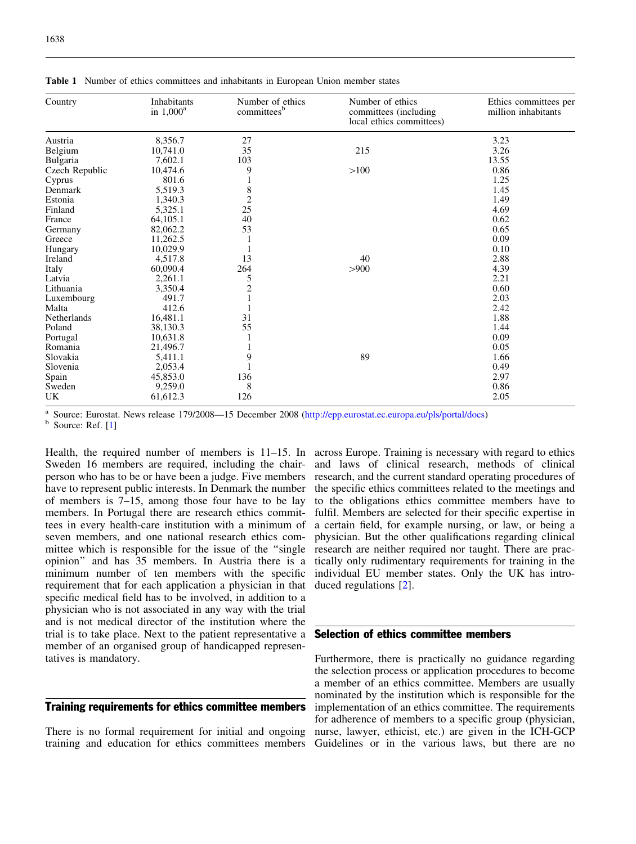| Country        | Inhabitants<br>in $1,000^a$ | Number of ethics<br>committees <sup>b</sup> | Number of ethics<br>committees (including<br>local ethics committees) | Ethics committees per<br>million inhabitants |
|----------------|-----------------------------|---------------------------------------------|-----------------------------------------------------------------------|----------------------------------------------|
| Austria        | 8,356.7                     | 27                                          |                                                                       | 3.23                                         |
| Belgium        | 10,741.0                    | 35                                          | 215                                                                   | 3.26                                         |
| Bulgaria       | 7,602.1                     | 103                                         |                                                                       | 13.55                                        |
| Czech Republic | 10,474.6                    | 9                                           | >100                                                                  | 0.86                                         |
| Cyprus         | 801.6                       |                                             |                                                                       | 1.25                                         |
| Denmark        | 5,519.3                     | 8                                           |                                                                       | 1.45                                         |
| Estonia        | 1,340.3                     | $\overline{c}$                              |                                                                       | 1.49                                         |
| Finland        | 5,325.1                     | 25                                          |                                                                       | 4.69                                         |
| France         | 64,105.1                    | 40                                          |                                                                       | 0.62                                         |
| Germany        | 82,062.2                    | 53                                          |                                                                       | 0.65                                         |
| Greece         | 11,262.5                    | $\mathbf{1}$                                |                                                                       | 0.09                                         |
| Hungary        | 10,029.9                    |                                             |                                                                       | 0.10                                         |
| Ireland        | 4,517.8                     | 13                                          | 40                                                                    | 2.88                                         |
| Italy          | 60,090.4                    | 264                                         | >900                                                                  | 4.39                                         |
| Latvia         | 2,261.1                     |                                             |                                                                       | 2.21                                         |
| Lithuania      | 3,350.4                     | $\frac{5}{2}$                               |                                                                       | 0.60                                         |
| Luxembourg     | 491.7                       |                                             |                                                                       | 2.03                                         |
| Malta          | 412.6                       |                                             |                                                                       | 2.42                                         |
| Netherlands    | 16,481.1                    | 31                                          |                                                                       | 1.88                                         |
| Poland         | 38,130.3                    | 55                                          |                                                                       | 1.44                                         |
| Portugal       | 10,631.8                    |                                             |                                                                       | 0.09                                         |
| Romania        | 21,496.7                    |                                             |                                                                       | 0.05                                         |
| Slovakia       | 5,411.1                     | 9                                           | 89                                                                    | 1.66                                         |
| Slovenia       | 2,053.4                     |                                             |                                                                       | 0.49                                         |
| Spain          | 45,853.0                    | 136                                         |                                                                       | 2.97                                         |
| Sweden         | 9,259.0                     | 8                                           |                                                                       | 0.86                                         |
| UK             | 61,612.3                    | 126                                         |                                                                       | 2.05                                         |

<span id="page-2-0"></span>Table 1 Number of ethics committees and inhabitants in European Union member states

Source: Eurostat. News release 179/2008—15 December 2008 (<http://epp.eurostat.ec.europa.eu/pls/portal/docs>) Source: Ref. [[1](#page-4-0)]

Health, the required number of members is 11–15. In across Europe. Training is necessary with regard to ethics Sweden 16 members are required, including the chairperson who has to be or have been a judge. Five members have to represent public interests. In Denmark the number of members is 7–15, among those four have to be lay members. In Portugal there are research ethics committees in every health-care institution with a minimum of seven members, and one national research ethics committee which is responsible for the issue of the ''single opinion'' and has 35 members. In Austria there is a minimum number of ten members with the specific requirement that for each application a physician in that specific medical field has to be involved, in addition to a physician who is not associated in any way with the trial and is not medical director of the institution where the trial is to take place. Next to the patient representative a member of an organised group of handicapped representatives is mandatory.

#### Training requirements for ethics committee members

There is no formal requirement for initial and ongoing training and education for ethics committees members

and laws of clinical research, methods of clinical research, and the current standard operating procedures of the specific ethics committees related to the meetings and to the obligations ethics committee members have to fulfil. Members are selected for their specific expertise in a certain field, for example nursing, or law, or being a physician. But the other qualifications regarding clinical research are neither required nor taught. There are practically only rudimentary requirements for training in the individual EU member states. Only the UK has introduced regulations [[2](#page-4-0)].

## Selection of ethics committee members

Furthermore, there is practically no guidance regarding the selection process or application procedures to become a member of an ethics committee. Members are usually nominated by the institution which is responsible for the implementation of an ethics committee. The requirements for adherence of members to a specific group (physician, nurse, lawyer, ethicist, etc.) are given in the ICH-GCP Guidelines or in the various laws, but there are no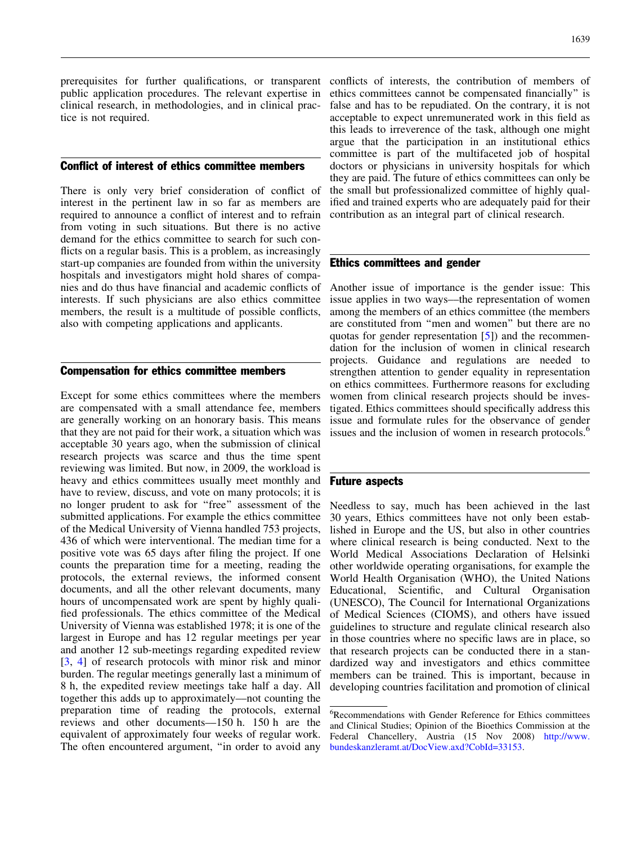prerequisites for further qualifications, or transparent public application procedures. The relevant expertise in clinical research, in methodologies, and in clinical practice is not required.

#### Conflict of interest of ethics committee members

There is only very brief consideration of conflict of interest in the pertinent law in so far as members are required to announce a conflict of interest and to refrain from voting in such situations. But there is no active demand for the ethics committee to search for such conflicts on a regular basis. This is a problem, as increasingly start-up companies are founded from within the university hospitals and investigators might hold shares of companies and do thus have financial and academic conflicts of interests. If such physicians are also ethics committee members, the result is a multitude of possible conflicts, also with competing applications and applicants.

#### Compensation for ethics committee members

Except for some ethics committees where the members are compensated with a small attendance fee, members are generally working on an honorary basis. This means that they are not paid for their work, a situation which was acceptable 30 years ago, when the submission of clinical research projects was scarce and thus the time spent reviewing was limited. But now, in 2009, the workload is heavy and ethics committees usually meet monthly and have to review, discuss, and vote on many protocols; it is no longer prudent to ask for ''free'' assessment of the submitted applications. For example the ethics committee of the Medical University of Vienna handled 753 projects, 436 of which were interventional. The median time for a positive vote was 65 days after filing the project. If one counts the preparation time for a meeting, reading the protocols, the external reviews, the informed consent documents, and all the other relevant documents, many hours of uncompensated work are spent by highly qualified professionals. The ethics committee of the Medical University of Vienna was established 1978; it is one of the largest in Europe and has 12 regular meetings per year and another 12 sub-meetings regarding expedited review [\[3](#page-4-0), [4\]](#page-4-0) of research protocols with minor risk and minor burden. The regular meetings generally last a minimum of 8 h, the expedited review meetings take half a day. All together this adds up to approximately––not counting the preparation time of reading the protocols, external reviews and other documents––150 h. 150 h are the equivalent of approximately four weeks of regular work. The often encountered argument, "in order to avoid any

conflicts of interests, the contribution of members of ethics committees cannot be compensated financially'' is false and has to be repudiated. On the contrary, it is not acceptable to expect unremunerated work in this field as this leads to irreverence of the task, although one might argue that the participation in an institutional ethics committee is part of the multifaceted job of hospital doctors or physicians in university hospitals for which they are paid. The future of ethics committees can only be the small but professionalized committee of highly qualified and trained experts who are adequately paid for their contribution as an integral part of clinical research.

#### Ethics committees and gender

Another issue of importance is the gender issue: This issue applies in two ways––the representation of women among the members of an ethics committee (the members are constituted from ''men and women'' but there are no quotas for gender representation [\[5](#page-4-0)]) and the recommendation for the inclusion of women in clinical research projects. Guidance and regulations are needed to strengthen attention to gender equality in representation on ethics committees. Furthermore reasons for excluding women from clinical research projects should be investigated. Ethics committees should specifically address this issue and formulate rules for the observance of gender issues and the inclusion of women in research protocols.<sup>6</sup>

## Future aspects

Needless to say, much has been achieved in the last 30 years, Ethics committees have not only been established in Europe and the US, but also in other countries where clinical research is being conducted. Next to the World Medical Associations Declaration of Helsinki other worldwide operating organisations, for example the World Health Organisation (WHO), the United Nations Educational, Scientific, and Cultural Organisation (UNESCO), The Council for International Organizations of Medical Sciences (CIOMS), and others have issued guidelines to structure and regulate clinical research also in those countries where no specific laws are in place, so that research projects can be conducted there in a standardized way and investigators and ethics committee members can be trained. This is important, because in developing countries facilitation and promotion of clinical

<sup>6</sup> Recommendations with Gender Reference for Ethics committees and Clinical Studies; Opinion of the Bioethics Commission at the Federal Chancellery, Austria (15 Nov 2008) [http://www.](http://www.bundeskanzleramt.at/DocView.axd?CobId=33153) [bundeskanzleramt.at/DocView.axd?CobId=33153](http://www.bundeskanzleramt.at/DocView.axd?CobId=33153).